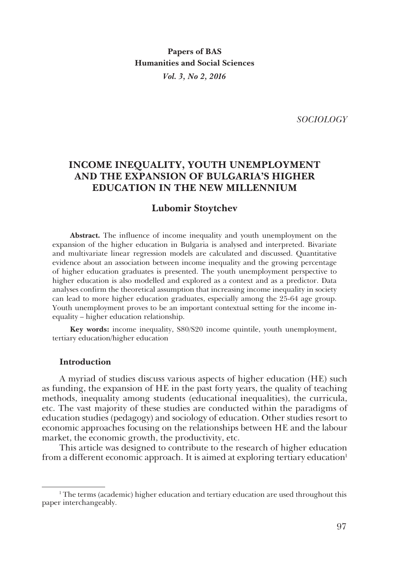**Papers of BAS Humanities and Social Sciences** *Vol. 3, No 2, 2016*

*SOCIOLOGY*

# **INCOME INEQUALITY, YOUTH UNEMPLOYMENT AND THE EXPANSION OF BULGARIA'S HIGHER EDUCATION IN THE NEW MILLENNIUM**

## **Lubomir Stoytchev**

**Abstract.** The influence of income inequality and youth unemployment on the expansion of the higher education in Bulgaria is analysed and interpreted. Bivariate and multivariate linear regression models are calculated and discussed. Quantitative evidence about an association between income inequality and the growing percentage of higher education graduates is presented. The youth unemployment perspective to higher education is also modelled and explored as a context and as a predictor. Data analyses confirm the theoretical assumption that increasing income inequality in society can lead to more higher education graduates, especially among the 25-64 age group. Youth unemployment proves to be an important contextual setting for the income inequality – higher education relationship.

**Key words:** income inequality, S80/S20 income quintile, youth unemployment, tertiary education/higher education

### **Introduction**

A myriad of studies discuss various aspects of higher education (HE) such as funding, the expansion of HE in the past forty years, the quality of teaching methods, inequality among students (educational inequalities), the curricula, etc. The vast majority of these studies are conducted within the paradigms of education studies (pedagogy) and sociology of education. Other studies resort to economic approaches focusing on the relationships between HE and the labour market, the economic growth, the productivity, etc.

This article was designed to contribute to the research of higher education from a different economic approach. It is aimed at exploring tertiary education<sup>1</sup>

<sup>1</sup> The terms (academic) higher education and tertiary education are used throughout this paper interchangeably.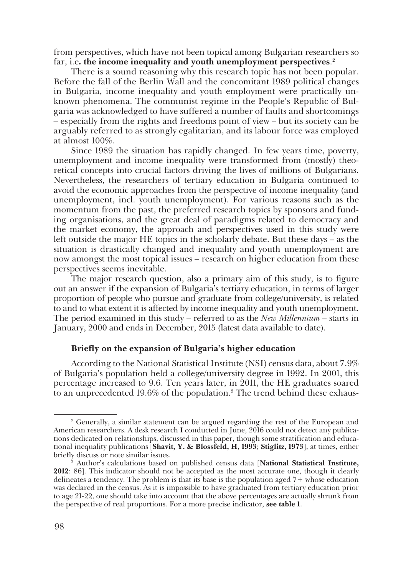from perspectives, which have not been topical among Bulgarian researchers so far, i.e**. the income inequality and youth unemployment perspectives**. 2

There is a sound reasoning why this research topic has not been popular. Before the fall of the Berlin Wall and the concomitant 1989 political changes in Bulgaria, income inequality and youth employment were practically un� known phenomena. The communist regime in the People's Republic of Bulgaria was acknowledged to have suffered a number of faults and shortcomings – especially from the rights and freedoms point of view – but its society can be arguably referred to as strongly egalitarian, and its labour force was employed at almost 100%.

Since 1989 the situation has rapidly changed. In few years time, poverty, unemployment and income inequality were transformed from (mostly) theoretical concepts into crucial factors driving the lives of millions of Bulgarians. Nevertheless, the researchers of tertiary education in Bulgaria continued to avoid the economic approaches from the perspective of income inequality (and unemployment, incl. youth unemployment). For various reasons such as the momentum from the past, the preferred research topics by sponsors and funding organisations, and the great deal of paradigms related to democracy and the market economy, the approach and perspectives used in this study were left outside the major HE topics in the scholarly debate. But these days – as the situation is drastically changed and inequality and youth unemployment are now amongst the most topical issues – research on higher education from these perspectives seems inevitable.

The major research question, also a primary aim of this study, is to figure out an answer if the expansion of Bulgaria's tertiary education, in terms of larger proportion of people who pursue and graduate from college/university, is related to and to what extent it is affected by income inequality and youth unemployment. The period examined in this study – referred to as the *New Millennium* – starts in January, 2000 and ends in December, 2015 (latest data available to date).

# **Briefly on the expansion of Bulgaria's higher education**

According to the National Statistical Institute (NSI) census data, about 7.9% of Bulgaria's population held a college/university degree in 1992. In 2001, this percentage increased to 9.6. Ten years later, in 2011, the HE graduates soared to an unprecedented 19.6% of the population. $^3$  The trend behind these exhaus-

<sup>2</sup> Generally, a similar statement can be argued regarding the rest of the European and American researchers. A desk research I conducted in June, 2016 could not detect any publications dedicated on relationships, discussed in this paper, though some stratification and educa� tional inequality publications [**Shavit, Y. & Blossfeld, H, 1993**; **Stiglitz, 1973**], at times, either briefly discuss or note similar issues. 3

Author's calculations based on published census data [**National Statistical Institute, 2012**: 86]. This indicator should not be accepted as the most accurate one, though it clearly delineates a tendency. The problem is that its base is the population aged 7+ whose education was declared in the census. As it is impossible to have graduated from tertiary education prior to age 21-22, one should take into account that the above percentages are actually shrunk from the perspective of real proportions. For a more precise indicator, **see table 1**.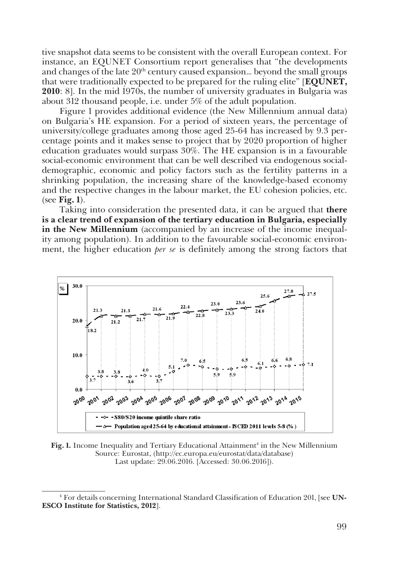tive snapshot data seems to be consistent with the overall European context. For instance, an EQUNET Consortium report generalises that "the developments and changes of the late  $20<sup>th</sup>$  century caused expansion... beyond the small groups that were traditionally expected to be prepared for the ruling elite" [**EQUNET, 2010**: 8]. In the mid 1970s, the number of university graduates in Bulgaria was about 312 thousand people, i.e. under 5% of the adult population.

Figure 1 provides additional evidence (the New Millennium annual data) on Bulgaria's HE expansion. For a period of sixteen years, the percentage of university/college graduates among those aged 25-64 has increased by 9.3 percentage points and it makes sense to project that by 2020 proportion of higher education graduates would surpass 30%. The HE expansion is in a favourable social-economic environment that can be well described via endogenous socialdemographic, economic and policy factors such as the fertility patterns in a shrinking population, the increasing share of the knowledge-based economy and the respective changes in the labour market, the EU cohesion policies, etc. (see **Fig. 1**).

Taking into consideration the presented data, it can be argued that **there is a clear trend of expansion of the tertiary education in Bulgaria, especially in the New Millennium** (accompanied by an increase of the income inequality among population). In addition to the favourable social-economic environ� ment, the higher education *per se* is definitely among the strong factors that



**Fig. 1.** Income Inequality and Tertiary Educational Attainment<sup>4</sup> in the New Millennium Source: Eurostat, (http://ec.europa.eu/eurostat/data/database) Last update: 29.06.2016. [Accessed: 30.06.2016]).

<sup>4</sup> For details concerning International Standard Classification of Education 201, [see **UN-ESCO Institute for Statistics, 2012**].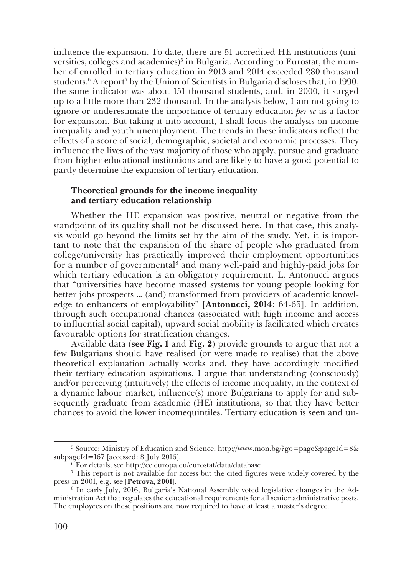influence the expansion. To date, there are 51 accredited HE institutions (universities, colleges and academies)<sup>5</sup> in Bulgaria. According to Eurostat, the number of enrolled in tertiary education in 2013 and 2014 exceeded 280 thousand students.6 A report7 by the Union of Scientists in Bulgaria discloses that, in 1990, the same indicator was about 151 thousand students, and, in 2000, it surged up to a little more than 232 thousand. In the analysis below, I am not going to ignore or underestimate the importance of tertiary education *per se* as a factor for expansion. But taking it into account, I shall focus the analysis on income inequality and youth unemployment. The trends in these indicators reflect the effects of a score of social, demographic, societal and economic processes. They influence the lives of the vast majority of those who apply, pursue and graduate from higher educational institutions and are likely to have a good potential to partly determine the expansion of tertiary education.

## **Theoretical grounds for the income inequality and tertiary education relationship**

Whether the HE expansion was positive, neutral or negative from the standpoint of its quality shall not be discussed here. In that case, this analysis would go beyond the limits set by the aim of the study. Yet, it is important to note that the expansion of the share of people who graduated from college/university has practically improved their employment opportunities for a number of governmental<sup>8</sup> and many well-paid and highly-paid jobs for which tertiary education is an obligatory requirement. L. Antonucci argues that "universities have become massed systems for young people looking for better jobs prospects … (and) transformed from providers of academic knowl� edge to enhancers of employability" [**Antonucci, 2014**: 64-65]. In addition, through such occupational chances (associated with high income and access to influential social capital), upward social mobility is facilitated which creates favourable options for stratification changes.

Available data (**see Fig. 1** and **Fig. 2**) provide grounds to argue that not a few Bulgarians should have realised (or were made to realise) that the above theoretical explanation actually works and, they have accordingly modified their tertiary education aspirations. I argue that understanding (consciously) and/or perceiving (intuitively) the effects of income inequality, in the context of a dynamic labour market, influence(s) more Bulgarians to apply for and subsequently graduate from academic (HE) institutions, so that they have better chances to avoid the lower incomequintiles. Tertiary education is seen and un�

<sup>&</sup>lt;sup>5</sup> Source: Ministry of Education and Science, http://www.mon.bg/?go=page&pageId=8& subpageId=167 [accessed: 8 July 2016].

<sup>6</sup> For details, see http://ec.europa.eu/eurostat/data/database.

<sup>7</sup> This report is not available for access but the cited figures were widely covered by the press in 2001, e.g. see [**Petrova, 2001**]. 8

<sup>&</sup>lt;sup>8</sup> In early July, 2016, Bulgaria's National Assembly voted legislative changes in the Administration Act that regulates the educational requirements for all senior administrative posts. The employees on these positions are now required to have at least a master's degree.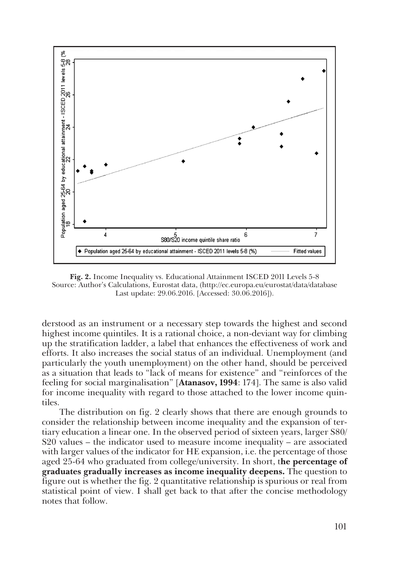

**Fig. 2.** Income Inequality vs. Educational Attainment ISCED 2011 Levels 5-8 Source: Author's Calculations, Eurostat data, (http://ec.europa.eu/eurostat/data/database Last update: 29.06.2016. [Accessed: 30.06.2016]).

derstood as an instrument or a necessary step towards the highest and second highest income quintiles. It is a rational choice, a non-deviant way for climbing up the stratification ladder, a label that enhances the effectiveness of work and efforts. It also increases the social status of an individual. Unemployment (and particularly the youth unemployment) on the other hand, should be perceived as a situation that leads to "lack of means for existence" and "reinforces of the feeling for social marginalisation" [**Atanasov, 1994**: 174]. The same is also valid for income inequality with regard to those attached to the lower income quin� tiles.

The distribution on fig. 2 clearly shows that there are enough grounds to consider the relationship between income inequality and the expansion of tertiary education a linear one. In the observed period of sixteen years, larger S80/ S20 values – the indicator used to measure income inequality – are associated with larger values of the indicator for HE expansion, i.e. the percentage of those aged 25-64 who graduated from college/university. In short, t**he percentage of graduates gradually increases as income inequality deepens.** The question to figure out is whether the fig. 2 quantitative relationship is spurious or real from statistical point of view. I shall get back to that after the concise methodology notes that follow.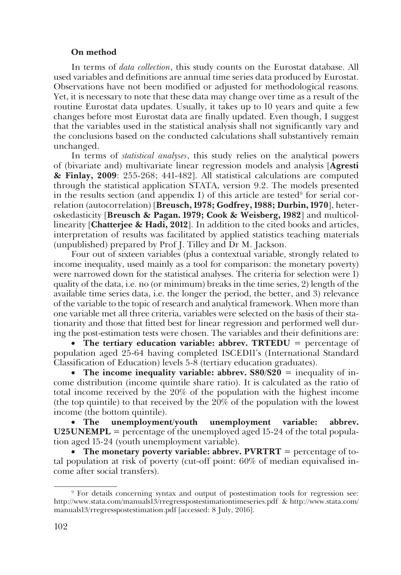## **On method**

In terms of *data collection*, this study counts on the Eurostat database. All used variables and definitions are annual time series data produced by Eurostat. Observations have not been modified or adjusted for methodological reasons. Yet, it is necessary to note that these data may change over time as a result of the routine Eurostat data updates. Usually, it takes up to 10 years and quite a few changes before most Eurostat data are finally updated. Even though, I suggest that the variables used in the statistical analysis shall not significantly vary and the conclusions based on the conducted calculations shall substantively remain unchanged.

In terms of *statistical analyses*, this study relies on the analytical powers of (bivariate and) multivariate linear regression models and analysis [**Agresti & Finlay, 2009**: 255-268; 441-482]. All statistical calculations are computed through the statistical application STATA, version 9.2. The models presented in the results section (and appendix I) of this article are tested<sup>9</sup> for serial correlation (autocorrelation) [**Breusch, 1978; Godfrey, 1988; Durbin, 1970**], heter� oskedasticity [**Breusch & Pagan. 1979; Cook & Weisberg, 1982**] and multicol� linearity [**Chatterjee & Hadi, 2012**]. In addition to the cited books and articles, interpretation of results was facilitated by applied statistics teaching materials (unpublished) prepared by Prof J. Tilley and Dr M. Jackson.

Four out of sixteen variables (plus a contextual variable, strongly related to income inequality, used mainly as a tool for comparison: the monetary poverty) were narrowed down for the statistical analyses. The criteria for selection were 1) quality of the data, i.e. no (or minimum) breaks in the time series, 2) length of the available time series data, i.e. the longer the period, the better, and 3) relevance of the variable to the topic of research and analytical framework. When more than one variable met all three criteria, variables were selected on the basis of their sta� tionarity and those that fitted best for linear regression and performed well dur� ing the post-estimation tests were chosen. The variables and their definitions are:

**The tertiary education variable: abbrev. TRTEDU** = percentage of population aged 25-64 having completed ISCED11's (International Standard Classification of Education) levels 5-8 (tertiary education graduates).

• The income inequality variable: abbrev.  $\frac{80}{520} = \frac{1}{20}$  inequality of income distribution (income quintile share ratio). It is calculated as the ratio of total income received by the 20% of the population with the highest income (the top quintile) to that received by the 20% of the population with the lowest income (the bottom quintile).

• **The unemployment/youth unemployment variable: abbrev.**   $U25UNEMPL =$  percentage of the unemployed aged 15-24 of the total population aged 15-24 (youth unemployment variable).

• The monetary poverty variable: abbrev. PVRTRT = percentage of total population at risk of poverty (cut-off point: 60% of median equivalised in� come after social transfers).

<sup>9</sup> For details concerning syntax and output of postestimation tools for regression see: http://www.stata.com/manuals13/rregresspostestimationtimeseries.pdf & http://www.stata.com/ manuals13/rregresspostestimation.pdf [accessed: 8 July, 2016].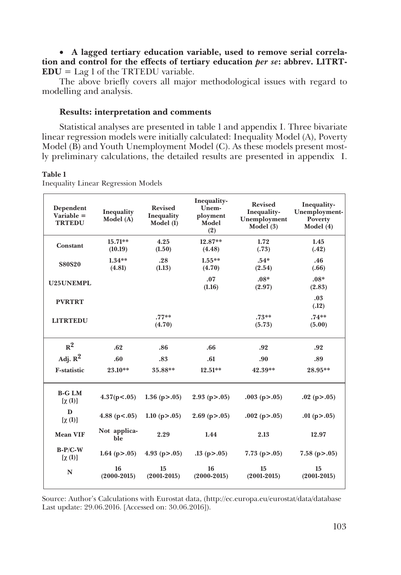• **A lagged tertiary education variable, used to remove serial correlation and control for the effects of tertiary education** *per se***: abbrev. L1TRT-EDU** = Lag 1 of the TRTEDU variable.

The above briefly covers all major methodological issues with regard to modelling and analysis.

# **Results: interpretation and comments**

Statistical analyses are presented in table 1 and appendix I. Three bivariate linear regression models were initially calculated: Inequality Model (A), Poverty Model (B) and Youth Unemployment Model (C). As these models present mostly preliminary calculations, the detailed results are presented in appendix I.

## **Table 1**

| Dependent<br>Variable $=$<br><b>TRTEDU</b> | Inequality<br>Model (A) | <b>Revised</b><br>Inequality<br>Model (1) | Inequality-<br>Unem-<br>ployment<br>Model<br>(2) | <b>Revised</b><br>Inequality-<br>Unemployment<br>Model $(3)$ | Inequality-<br>Unemployment-<br>Poverty<br>Model (4) |
|--------------------------------------------|-------------------------|-------------------------------------------|--------------------------------------------------|--------------------------------------------------------------|------------------------------------------------------|
| Constant                                   | $15.71**$<br>(10.19)    | 4.25<br>(1.50)                            | $12.87**$<br>(4.48)                              | 1.72<br>(.73)                                                | 1.45<br>(.42)                                        |
| <b>S80S20</b>                              | $1.34**$<br>(4.81)      | .28<br>(1.13)                             | $1.55***$<br>(4.70)                              | $.54*$<br>(2.54)                                             | .46<br>(.66)                                         |
| U25UNEMPL                                  |                         |                                           | .07<br>(1.16)                                    | $.08*$<br>(2.97)                                             | $.08*$<br>(2.83)                                     |
| <b>PVRTRT</b>                              |                         |                                           |                                                  |                                                              | .03<br>(.12)                                         |
| <b>LITRTEDU</b>                            |                         | $.77**$<br>(4.70)                         |                                                  | $.73**$<br>(5.73)                                            | $.74**$<br>(5.00)                                    |
| $R^2$                                      | .62                     | .86                                       | .66                                              | .92                                                          | .92                                                  |
| Adj. $R^2$                                 | .60                     | .83                                       | .61                                              | .90                                                          | .89                                                  |
| <b>F-statistic</b>                         | 23.10**                 | 35.88**                                   | $12.51**$                                        | 42.39**                                                      | 28.95**                                              |
| <b>B-G LM</b><br>$[\chi(1)]$               | 4.37(p<.05)             | 1.36 ( $p > .05$ )                        | $2.93$ (p $> 0.05$ )                             | $.003$ (p $> 0.05$ )                                         | $.02$ (p $> 0.05$ )                                  |
| D<br>$[\chi(1)]$                           | 4.88 ( $p<0.05$ )       | 1.10 $(p > .05)$                          | $2.69$ (p $> 0.05$ )                             | $.002$ (p $> 0.05$ )                                         | .01 ( $p > .05$ )                                    |
| <b>Mean VIF</b>                            | Not applica-<br>ble     | 2.29                                      | 1.44                                             | 2.13                                                         | 12.97                                                |
| $B-P/C-W$<br>$[\chi(1)]$                   | 1.64 ( $p > .05$ )      | 4.93 ( $p > .05$ )                        | $.13$ (p $> 0.05$ )                              | 7.73 ( $p > .05$ )                                           | $7.58$ (p $> 0.05$ )                                 |
| N                                          | 16<br>$(2000 - 2015)$   | 15<br>$(2001 - 2015)$                     | 16<br>$(2000 - 2015)$                            | 15<br>$(2001 - 2015)$                                        | 15<br>$(2001 - 2015)$                                |

Inequality Linear Regression Models

Source: Author's Calculations with Eurostat data, (http://ec.europa.eu/eurostat/data/database Last update: 29.06.2016. [Accessed on: 30.06.2016]).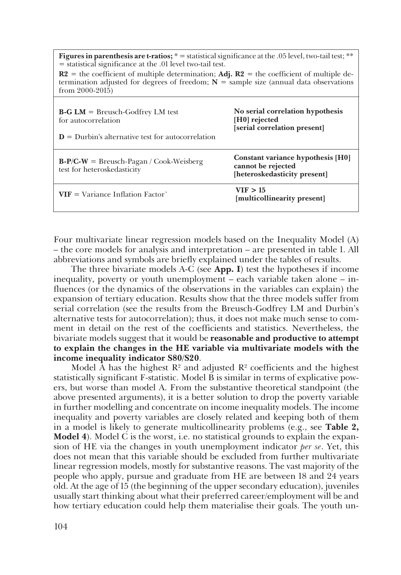**Figures in parenthesis are t-ratios;**  $* =$  statistical significance at the .05 level, two-tail test;  $**$ = statistical significance at the .01 level two-tail test.

 $R2$  = the coefficient of multiple determination; Adj.  $R2$  = the coefficient of multiple determination adjusted for degrees of freedom;  $N =$  sample size (annual data observations from 2000-2015)

| $\textbf{B-G}\text{ }\textbf{LM}$ = Breusch-Godfrey LM test<br>for autocorrelation<br>$\mathbf{D}$ = Durbin's alternative test for autocorrelation | No serial correlation hypothesis<br>[H0] rejected<br>[serial correlation present]       |
|----------------------------------------------------------------------------------------------------------------------------------------------------|-----------------------------------------------------------------------------------------|
| $B-P/C-W =$ Breusch-Pagan / Cook-Weisberg<br>test for heteroskedasticity                                                                           | Constant variance hypothesis [H0]<br>cannot be rejected<br>[heteroskedasticity present] |
| $VIF = Variance Inflation Factor'$                                                                                                                 | VIF > 15<br>[multicollinearity present]                                                 |

Four multivariate linear regression models based on the Inequality Model (A) – the core models for analysis and interpretation – are presented in table 1. All abbreviations and symbols are briefly explained under the tables of results.

The three bivariate models A-C (see **App. I**) test the hypotheses if income inequality, poverty or youth unemployment – each variable taken alone – influences (or the dynamics of the observations in the variables can explain) the expansion of tertiary education. Results show that the three models suffer from serial correlation (see the results from the Breusch-Godfrey LM and Durbin's alternative tests for autocorrelation); thus, it does not make much sense to com� ment in detail on the rest of the coefficients and statistics. Nevertheless, the bivariate models suggest that it would be **reasonable and productive to attempt to explain the changes in the HE variable via multivariate models with the income inequality indicator S80/S20**.

Model A has the highest  $\mathbb{R}^2$  and adjusted  $\mathbb{R}^2$  coefficients and the highest statistically significant F-statistic. Model B is similar in terms of explicative pow� ers, but worse than model A. From the substantive theoretical standpoint (the above presented arguments), it is a better solution to drop the poverty variable in further modelling and concentrate on income inequality models. The income inequality and poverty variables are closely related and keeping both of them in a model is likely to generate multicollinearity problems (e.g., see **Тable 2, Model 4**). Model C is the worst, i.e. no statistical grounds to explain the expansion of HE via the changes in youth unemployment indicator *per se*. Yet, this does not mean that this variable should be excluded from further multivariate linear regression models, mostly for substantive reasons. The vast majority of the people who apply, pursue and graduate from HE are between 18 and 24 years old. At the age of 15 (the beginning of the upper secondary education), juveniles usually start thinking about what their preferred career/employment will be and how tertiary education could help them materialise their goals. The youth un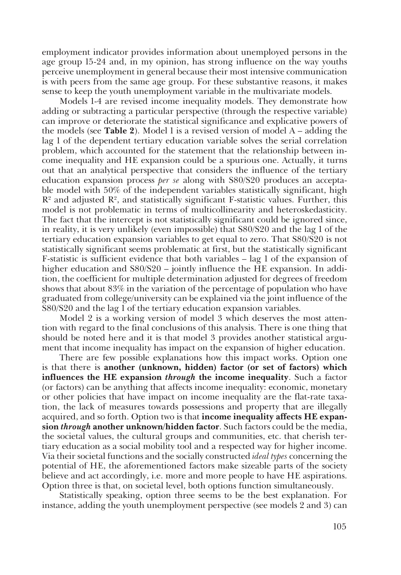employment indicator provides information about unemployed persons in the age group 15-24 and, in my opinion, has strong influence on the way youths perceive unemployment in general because their most intensive communication is with peers from the same age group. For these substantive reasons, it makes sense to keep the youth unemployment variable in the multivariate models.

Models 1-4 are revised income inequality models. They demonstrate how adding or subtracting a particular perspective (through the respective variable) can improve or deteriorate the statistical significance and explicative powers of the models (see **Тable 2**). Model 1 is a revised version of model A – adding the lag 1 of the dependent tertiary education variable solves the serial correlation problem, which accounted for the statement that the relationship between in� come inequality and HE expansion could be a spurious one. Actually, it turns out that an analytical perspective that considers the influence of the tertiary education expansion process *per se* along with S80/S20 produces an acceptable model with 50% of the independent variables statistically significant, high  $\mathbb{R}^2$  and adjusted  $\mathbb{R}^2$ , and statistically significant F-statistic values. Further, this model is not problematic in terms of multicollinearity and heteroskedasticity. The fact that the intercept is not statistically significant could be ignored since, in reality, it is very unlikely (even impossible) that S80/S20 and the lag 1 of the tertiary education expansion variables to get equal to zero. That S80/S20 is not statistically significant seems problematic at first, but the statistically significant F-statistic is sufficient evidence that both variables – lag 1 of the expansion of higher education and  $S80/S20 -$  jointly influence the HE expansion. In addition, the coefficient for multiple determination adjusted for degrees of freedom shows that about 83% in the variation of the percentage of population who have graduated from college/university can be explained via the joint influence of the S80/S20 and the lag 1 of the tertiary education expansion variables.

Model 2 is a working version of model 3 which deserves the most atten� tion with regard to the final conclusions of this analysis. There is one thing that should be noted here and it is that model 3 provides another statistical argu� ment that income inequality has impact on the expansion of higher education.

There are few possible explanations how this impact works. Option one is that there is **another (unknown, hidden) factor (or set of factors) which influences the HE expansion** *through* **the income inequality**. Such a factor (or factors) can be anything that affects income inequality: economic, monetary or other policies that have impact on income inequality are the flat-rate taxa� tion, the lack of measures towards possessions and property that are illegally acquired, and so forth. Option two is that **income inequality affects HE expansion** *through* **another unknown/hidden factor**. Such factors could be the media, the societal values, the cultural groups and communities, etc. that cherish tertiary education as a social mobility tool and a respected way for higher income. Via their societal functions and the socially constructed *ideal types* concerning the potential of HE, the aforementioned factors make sizeable parts of the society believe and act accordingly, i.e. more and more people to have HE aspirations. Option three is that, on societal level, both options function simultaneously.

Statistically speaking, option three seems to be the best explanation. For instance, adding the youth unemployment perspective (see models 2 and 3) can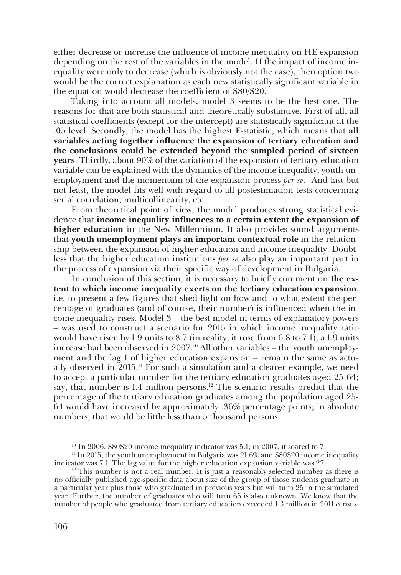either decrease or increase the influence of income inequality on HE expansion depending on the rest of the variables in the model. If the impact of income in� equality were only to decrease (which is obviously not the case), then option two would be the correct explanation as each new statistically significant variable in the equation would decrease the coefficient of S80/S20.

Taking into account all models, model 3 seems to be the best one. The reasons for that are both statistical and theoretically substantive. First of all, all statistical coefficients (except for the intercept) are statistically significant at the .05 level. Secondly, the model has the highest F-statistic, which means that **all variables acting together influence the expansion of tertiary education and the conclusions could be extended beyond the sampled period of sixteen years**. Thirdly, about 90% of the variation of the expansion of tertiary education variable can be explained with the dynamics of the income inequality, youth unemployment and the momentum of the expansion process *per se*. And last but not least, the model fits well with regard to all postestimation tests concerning serial correlation, multicollinearity, etc.

From theoretical point of view, the model produces strong statistical evidence that **income inequality influences to a certain extent the expansion of higher education** in the New Millennium. It also provides sound arguments that youth unemployment plays an important contextual role in the relationship between the expansion of higher education and income inequality. Doubtless that the higher education institutions *per se* also play an important part in the process of expansion via their specific way of development in Bulgaria.

In conclusion of this section, it is necessary to briefly comment on **the extent to which income inequality exerts on the tertiary education expansion**, i.e. to present a few figures that shed light on how and to what extent the percentage of graduates (and of course, their number) is influenced when the in� come inequality rises. Model 3 – the best model in terms of explanatory powers – was used to construct a scenario for 2015 in which income inequality ratio would have risen by 1.9 units to 8.7 (in reality, it rose from 6.8 to 7.1); a 1.9 units increase had been observed in  $2007<sup>10</sup>$  All other variables – the youth unemployment and the lag 1 of higher education expansion – remain the same as actually observed in  $2015$ .<sup>11</sup> For such a simulation and a clearer example, we need to accept a particular number for the tertiary education graduates aged 25-64; say, that number is 1.4 million persons.<sup>12</sup> The scenario results predict that the percentage of the tertiary education graduates among the population aged 25-64 would have increased by approximately .36% percentage points; in absolute numbers, that would be little less than 5 thousand persons.

<sup>&</sup>lt;sup>10</sup> In 2006, S80S20 income inequality indicator was 5.1; in 2007, it soared to 7.

 $11$  In 2015, the youth unemployment in Bulgaria was 21.6% and S80S20 income inequality indicator was 7.1. The lag value for the higher education expansion variable was 27.

 $12$  This number is not a real number. It is just a reasonably selected number as there is no officially published age-specific data about size of the group of those students graduate in a particular year plus those who graduated in previous years but will turn 25 in the simulated year. Further, the number of graduates who will turn 65 is also unknown. We know that the number of people who graduated from tertiary education exceeded 1.3 million in 2011 census.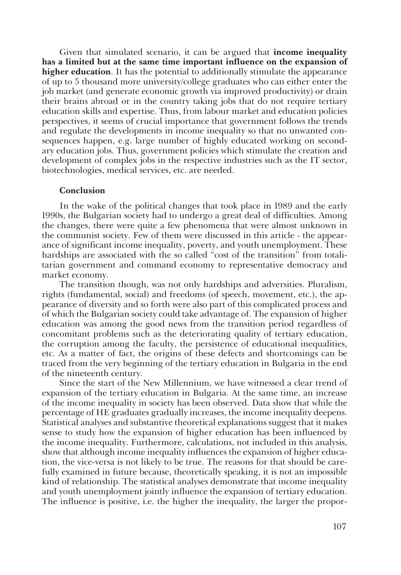Given that simulated scenario, it can be argued that **income inequality has a limited but at the same time important influence on the expansion of higher education**. It has the potential to additionally stimulate the appearance of up to 5 thousand more university/college graduates who can either enter the job market (and generate economic growth via improved productivity) or drain their brains abroad or in the country taking jobs that do not require tertiary education skills and expertise. Thus, from labour market and education policies perspectives, it seems of crucial importance that government follows the trends and regulate the developments in income inequality so that no unwanted consequences happen, e.g. large number of highly educated working on second� ary education jobs. Thus, government policies which stimulate the creation and development of complex jobs in the respective industries such as the IT sector, biotechnologies, medical services, etc. are needed.

### **Conclusion**

In the wake of the political changes that took place in 1989 and the early 1990s, the Bulgarian society had to undergo a great deal of difficulties. Among the changes, there were quite a few phenomena that were almost unknown in the communist society. Few of them were discussed in this article - the appear� ance of significant income inequality, poverty, and youth unemployment. These hardships are associated with the so called "cost of the transition" from totalitarian government and command economy to representative democracy and market economy.

The transition though, was not only hardships and adversities. Pluralism, rights (fundamental, social) and freedoms (of speech, movement, etc.), the appearance of diversity and so forth were also part of this complicated process and of which the Bulgarian society could take advantage of. The expansion of higher education was among the good news from the transition period regardless of concomitant problems such as the deteriorating quality of tertiary education, the corruption among the faculty, the persistence of educational inequalities, etc. As a matter of fact, the origins of these defects and shortcomings can be traced from the very beginning of the tertiary education in Bulgaria in the end of the nineteenth century.

Since the start of the New Millennium, we have witnessed a clear trend of expansion of the tertiary education in Bulgaria. At the same time, an increase of the income inequality in society has been observed. Data show that while the percentage of HE graduates gradually increases, the income inequality deepens. Statistical analyses and substantive theoretical explanations suggest that it makes sense to study how the expansion of higher education has been influenced by the income inequality. Furthermore, calculations, not included in this analysis, show that although income inequality influences the expansion of higher educa� tion, the vice-versa is not likely to be true. The reasons for that should be care� fully examined in future because, theoretically speaking, it is not an impossible kind of relationship. The statistical analyses demonstrate that income inequality and youth unemployment jointly influence the expansion of tertiary education. The influence is positive, i.e. the higher the inequality, the larger the propor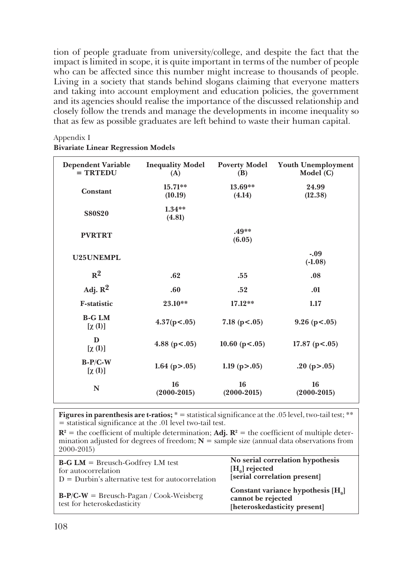tion of people graduate from university/college, and despite the fact that the impact is limited in scope, it is quite important in terms of the number of people who can be affected since this number might increase to thousands of people. Living in a society that stands behind slogans claiming that everyone matters and taking into account employment and education policies, the government and its agencies should realise the importance of the discussed relationship and closely follow the trends and manage the developments in income inequality so that as few as possible graduates are left behind to waste their human capital.

| <b>Dependent Variable</b><br>$=$ TRTEDU | <b>Inequality Model</b><br>(A) | <b>Poverty Model</b><br>(B) | <b>Youth Unemployment</b><br>Model (C) |
|-----------------------------------------|--------------------------------|-----------------------------|----------------------------------------|
| Constant                                | $15.71**$<br>(10.19)           | $13.69**$<br>(4.14)         | 24.99<br>(12.38)                       |
| <b>S80S20</b>                           | $1.34**$<br>(4.81)             |                             |                                        |
| <b>PVRTRT</b>                           |                                | .49**<br>(6.05)             |                                        |
| U25UNEMPL                               |                                |                             | $-.09$<br>$(-1.08)$                    |
| $R^2$                                   | .62                            | .55                         | .08                                    |
| Adj. $R^2$                              | .60                            | .52                         | .01                                    |
| <b>F-statistic</b>                      | 23.10**                        | $17.12**$                   | 1.17                                   |
| <b>B-G LM</b><br>$[\chi(1)]$            | 4.37(p<.05)                    | 7.18 ( $p < .05$ )          | $9.26$ (p < .05)                       |
| $\mathbf{D}$<br>$[\chi(1)]$             | 4.88 ( $p < .05$ )             | 10.60 ( $p < .05$ )         | 17.87 ( $p < .05$ )                    |
| $B-P/C-W$<br>$[\chi(1)]$                | 1.64 ( $p > .05$ )             | 1.19 ( $p > .05$ )          | .20 ( $p > .05$ )                      |
| N                                       | 16<br>$(2000-2015)$            | 16<br>$(2000-2015)$         | 16<br>$(2000-2015)$                    |

Appendix I **Bivariate Linear Regression Models**

Figures in parenthesis are t-ratios; \* = statistical significance at the .05 level, two-tail test; \*\* = statistical significance at the .01 level two-tail test.

 $\mathbb{R}^2$  = the coefficient of multiple determination; Adj.  $\mathbb{R}^2$  = the coefficient of multiple determination adjusted for degrees of freedom;  $N =$  sample size (annual data observations from 2000-2015)

| $B-G LM = Brevsch-Godfrey LM test$                                       | No serial correlation hypothesis                                                           |
|--------------------------------------------------------------------------|--------------------------------------------------------------------------------------------|
| for autocorrelation                                                      | $[H_0]$ rejected                                                                           |
| $D = Durbin's alternative test for autocorrelation$                      | [serial correlation present]                                                               |
| $B-P/C-W =$ Breusch-Pagan / Cook-Weisberg<br>test for heteroskedasticity | Constant variance hypothesis $[H_0]$<br>cannot be rejected<br>[heteroskedasticity present] |